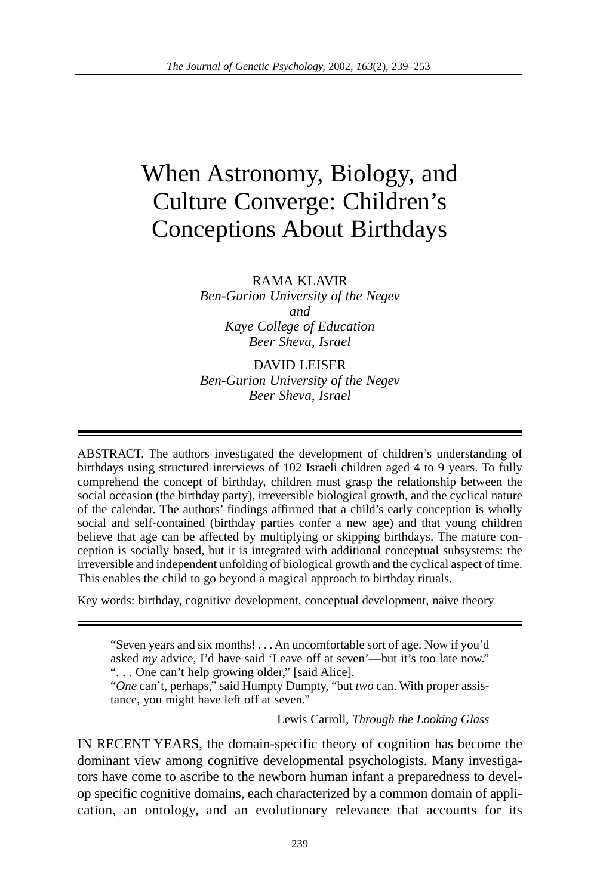# When Astronomy, Biology, and Culture Converge: Children's Conceptions About Birthdays

RAMA KLAVIR *Ben-Gurion University of the Negev and Kaye College of Education Beer Sheva, Israel*

DAVID LEISER *Ben-Gurion University of the Negev Beer Sheva, Israel*

ABSTRACT. The authors investigated the development of children's understanding of birthdays using structured interviews of 102 Israeli children aged 4 to 9 years. To fully comprehend the concept of birthday, children must grasp the relationship between the social occasion (the birthday party), irreversible biological growth, and the cyclical nature of the calendar. The authors' findings affirmed that a child's early conception is wholly social and self-contained (birthday parties confer a new age) and that young children believe that age can be affected by multiplying or skipping birthdays. The mature conception is socially based, but it is integrated with additional conceptual subsystems: the irreversible and independent unfolding of biological growth and the cyclical aspect of time. This enables the child to go beyond a magical approach to birthday rituals.

Key words: birthday, cognitive development, conceptual development, naive theory

"Seven years and six months! . . . An uncomfortable sort of age. Now if you'd asked *my* advice, I'd have said 'Leave off at seven'—but it's too late now." ". . . One can't help growing older," [said Alice].

"*One* can't, perhaps," said Humpty Dumpty, "but *two* can. With proper assistance, you might have left off at seven."

Lewis Carroll, *Through the Looking Glass*

IN RECENT YEARS, the domain-specific theory of cognition has become the dominant view among cognitive developmental psychologists. Many investigators have come to ascribe to the newborn human infant a preparedness to develop specific cognitive domains, each characterized by a common domain of application, an ontology, and an evolutionary relevance that accounts for its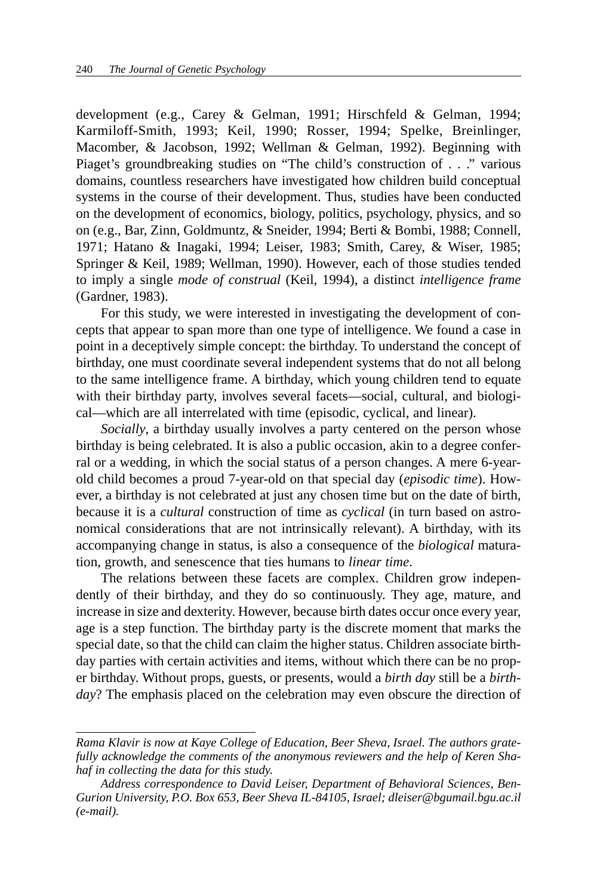development (e.g., Carey & Gelman, 1991; Hirschfeld & Gelman, 1994; Karmiloff-Smith, 1993; Keil, 1990; Rosser, 1994; Spelke, Breinlinger, Macomber, & Jacobson, 1992; Wellman & Gelman, 1992). Beginning with Piaget's groundbreaking studies on "The child's construction of . . ." various domains, countless researchers have investigated how children build conceptual systems in the course of their development. Thus, studies have been conducted on the development of economics, biology, politics, psychology, physics, and so on (e.g., Bar, Zinn, Goldmuntz, & Sneider, 1994; Berti & Bombi, 1988; Connell, 1971; Hatano & Inagaki, 1994; Leiser, 1983; Smith, Carey, & Wiser, 1985; Springer & Keil, 1989; Wellman, 1990). However, each of those studies tended to imply a single *mode of construal* (Keil, 1994), a distinct *intelligence frame* (Gardner, 1983).

For this study, we were interested in investigating the development of concepts that appear to span more than one type of intelligence. We found a case in point in a deceptively simple concept: the birthday. To understand the concept of birthday, one must coordinate several independent systems that do not all belong to the same intelligence frame. A birthday, which young children tend to equate with their birthday party, involves several facets—social, cultural, and biological—which are all interrelated with time (episodic, cyclical, and linear).

*Socially*, a birthday usually involves a party centered on the person whose birthday is being celebrated. It is also a public occasion, akin to a degree conferral or a wedding, in which the social status of a person changes. A mere 6-yearold child becomes a proud 7-year-old on that special day (*episodic time*). However, a birthday is not celebrated at just any chosen time but on the date of birth, because it is a *cultural* construction of time as *cyclical* (in turn based on astronomical considerations that are not intrinsically relevant). A birthday, with its accompanying change in status, is also a consequence of the *biological* maturation, growth, and senescence that ties humans to *linear time*.

The relations between these facets are complex. Children grow independently of their birthday, and they do so continuously. They age, mature, and increase in size and dexterity. However, because birth dates occur once every year, age is a step function. The birthday party is the discrete moment that marks the special date, so that the child can claim the higher status. Children associate birthday parties with certain activities and items, without which there can be no proper birthday. Without props, guests, or presents, would a *birth day* still be a *birthday*? The emphasis placed on the celebration may even obscure the direction of

*Rama Klavir is now at Kaye College of Education, Beer Sheva, Israel. The authors gratefully acknowledge the comments of the anonymous reviewers and the help of Keren Shahaf in collecting the data for this study.*

*Address correspondence to David Leiser, Department of Behavioral Sciences, Ben-Gurion University, P.O. Box 653, Beer Sheva IL-84105, Israel; dleiser@bgumail.bgu.ac.il (e-mail).*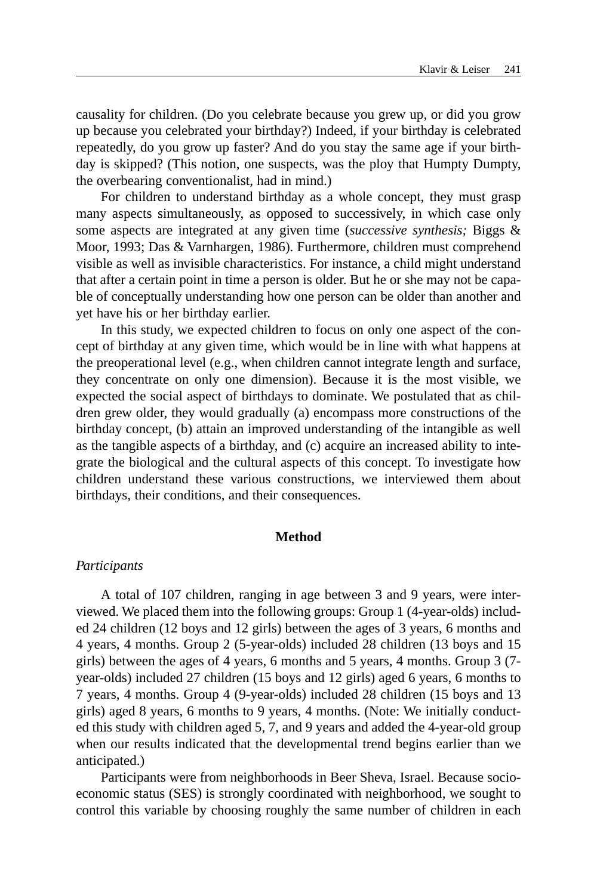causality for children. (Do you celebrate because you grew up, or did you grow up because you celebrated your birthday?) Indeed, if your birthday is celebrated repeatedly, do you grow up faster? And do you stay the same age if your birthday is skipped? (This notion, one suspects, was the ploy that Humpty Dumpty, the overbearing conventionalist, had in mind.)

For children to understand birthday as a whole concept, they must grasp many aspects simultaneously, as opposed to successively, in which case only some aspects are integrated at any given time (*successive synthesis;* Biggs & Moor, 1993; Das & Varnhargen, 1986). Furthermore, children must comprehend visible as well as invisible characteristics. For instance, a child might understand that after a certain point in time a person is older. But he or she may not be capable of conceptually understanding how one person can be older than another and yet have his or her birthday earlier.

In this study, we expected children to focus on only one aspect of the concept of birthday at any given time, which would be in line with what happens at the preoperational level (e.g., when children cannot integrate length and surface, they concentrate on only one dimension). Because it is the most visible, we expected the social aspect of birthdays to dominate. We postulated that as children grew older, they would gradually (a) encompass more constructions of the birthday concept, (b) attain an improved understanding of the intangible as well as the tangible aspects of a birthday, and (c) acquire an increased ability to integrate the biological and the cultural aspects of this concept. To investigate how children understand these various constructions, we interviewed them about birthdays, their conditions, and their consequences.

#### **Method**

## *Participants*

A total of 107 children, ranging in age between 3 and 9 years, were interviewed. We placed them into the following groups: Group 1 (4-year-olds) included 24 children (12 boys and 12 girls) between the ages of 3 years, 6 months and 4 years, 4 months. Group 2 (5-year-olds) included 28 children (13 boys and 15 girls) between the ages of 4 years, 6 months and 5 years, 4 months. Group 3 (7 year-olds) included 27 children (15 boys and 12 girls) aged 6 years, 6 months to 7 years, 4 months. Group 4 (9-year-olds) included 28 children (15 boys and 13 girls) aged 8 years, 6 months to 9 years, 4 months. (Note: We initially conducted this study with children aged 5, 7, and 9 years and added the 4-year-old group when our results indicated that the developmental trend begins earlier than we anticipated.)

Participants were from neighborhoods in Beer Sheva, Israel. Because socioeconomic status (SES) is strongly coordinated with neighborhood, we sought to control this variable by choosing roughly the same number of children in each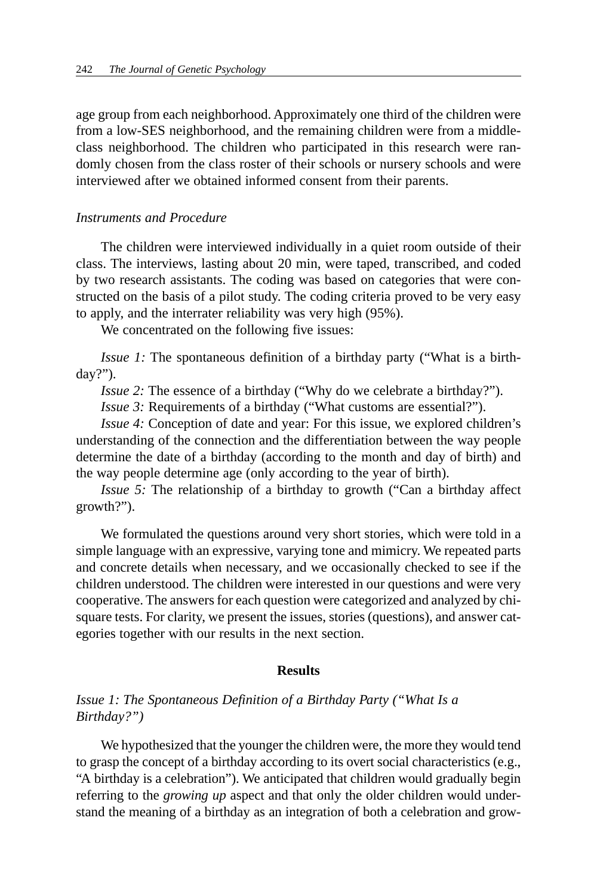age group from each neighborhood. Approximately one third of the children were from a low-SES neighborhood, and the remaining children were from a middleclass neighborhood. The children who participated in this research were randomly chosen from the class roster of their schools or nursery schools and were interviewed after we obtained informed consent from their parents.

### *Instruments and Procedure*

The children were interviewed individually in a quiet room outside of their class. The interviews, lasting about 20 min, were taped, transcribed, and coded by two research assistants. The coding was based on categories that were constructed on the basis of a pilot study. The coding criteria proved to be very easy to apply, and the interrater reliability was very high (95%).

We concentrated on the following five issues:

*Issue 1:* The spontaneous definition of a birthday party ("What is a birthday?").

*Issue 2:* The essence of a birthday ("Why do we celebrate a birthday?").

*Issue 3:* Requirements of a birthday ("What customs are essential?").

*Issue 4:* Conception of date and year: For this issue, we explored children's understanding of the connection and the differentiation between the way people determine the date of a birthday (according to the month and day of birth) and the way people determine age (only according to the year of birth).

*Issue 5:* The relationship of a birthday to growth ("Can a birthday affect growth?").

We formulated the questions around very short stories, which were told in a simple language with an expressive, varying tone and mimicry. We repeated parts and concrete details when necessary, and we occasionally checked to see if the children understood. The children were interested in our questions and were very cooperative. The answers for each question were categorized and analyzed by chisquare tests. For clarity, we present the issues, stories (questions), and answer categories together with our results in the next section.

## **Results**

## *Issue 1: The Spontaneous Definition of a Birthday Party ("What Is a Birthday?")*

We hypothesized that the younger the children were, the more they would tend to grasp the concept of a birthday according to its overt social characteristics (e.g., "A birthday is a celebration"). We anticipated that children would gradually begin referring to the *growing up* aspect and that only the older children would understand the meaning of a birthday as an integration of both a celebration and grow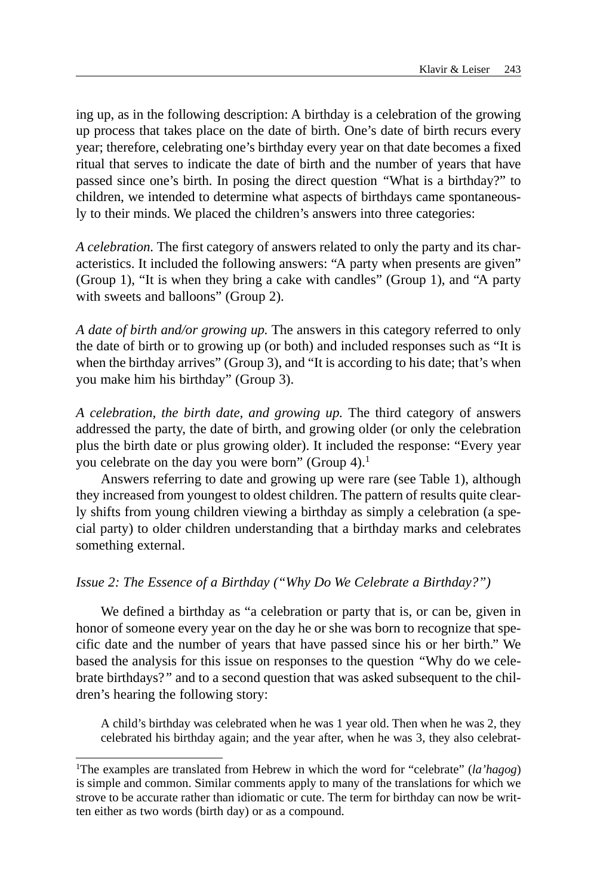ing up, as in the following description: A birthday is a celebration of the growing up process that takes place on the date of birth. One's date of birth recurs every year; therefore, celebrating one's birthday every year on that date becomes a fixed ritual that serves to indicate the date of birth and the number of years that have passed since one's birth. In posing the direct question *"*What is a birthday?" to children, we intended to determine what aspects of birthdays came spontaneously to their minds. We placed the children's answers into three categories:

*A celebration.* The first category of answers related to only the party and its characteristics. It included the following answers: "A party when presents are given" (Group 1), "It is when they bring a cake with candles" (Group 1), and "A party with sweets and balloons" (Group 2).

*A date of birth and/or growing up.* The answers in this category referred to only the date of birth or to growing up (or both) and included responses such as "It is when the birthday arrives" (Group 3), and "It is according to his date; that's when you make him his birthday" (Group 3).

*A celebration, the birth date, and growing up.* The third category of answers addressed the party, the date of birth, and growing older (or only the celebration plus the birth date or plus growing older). It included the response: "Every year you celebrate on the day you were born" (Group 4).1

Answers referring to date and growing up were rare (see Table 1), although they increased from youngest to oldest children. The pattern of results quite clearly shifts from young children viewing a birthday as simply a celebration (a special party) to older children understanding that a birthday marks and celebrates something external.

## *Issue 2: The Essence of a Birthday ("Why Do We Celebrate a Birthday?")*

We defined a birthday as "a celebration or party that is, or can be, given in honor of someone every year on the day he or she was born to recognize that specific date and the number of years that have passed since his or her birth." We based the analysis for this issue on responses to the question *"*Why do we celebrate birthdays?*"* and to a second question that was asked subsequent to the children's hearing the following story:

A child's birthday was celebrated when he was 1 year old. Then when he was 2, they celebrated his birthday again; and the year after, when he was 3, they also celebrat-

<sup>&</sup>lt;sup>1</sup>The examples are translated from Hebrew in which the word for "celebrate" (la'hagog) is simple and common. Similar comments apply to many of the translations for which we strove to be accurate rather than idiomatic or cute. The term for birthday can now be written either as two words (birth day) or as a compound.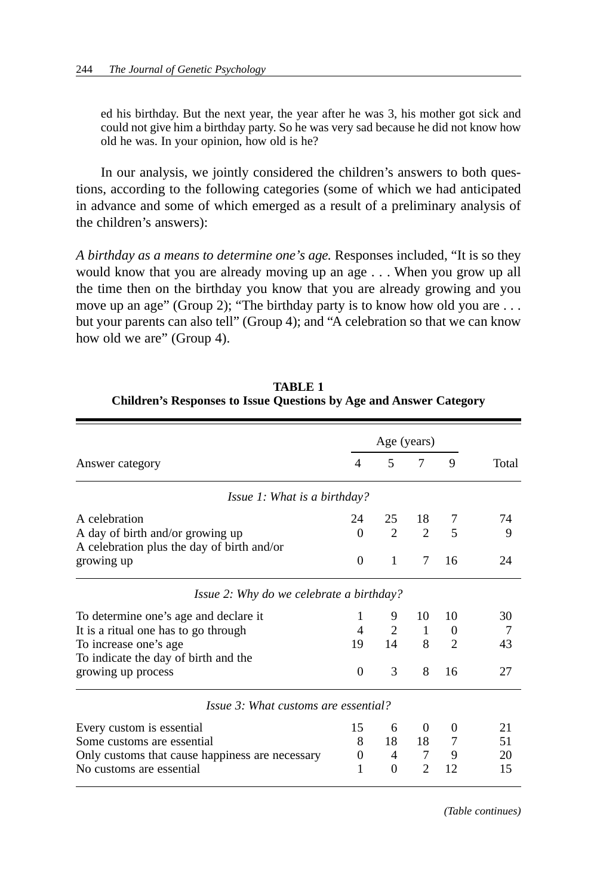ed his birthday. But the next year, the year after he was 3, his mother got sick and could not give him a birthday party. So he was very sad because he did not know how old he was. In your opinion, how old is he?

In our analysis, we jointly considered the children's answers to both questions, according to the following categories (some of which we had anticipated in advance and some of which emerged as a result of a preliminary analysis of the children's answers):

*A birthday as a means to determine one's age.* Responses included, "It is so they would know that you are already moving up an age . . . When you grow up all the time then on the birthday you know that you are already growing and you move up an age" (Group 2); "The birthday party is to know how old you are ... but your parents can also tell" (Group 4); and "A celebration so that we can know how old we are" (Group 4).

| Answer category                                                                |                |               |                |                          |       |
|--------------------------------------------------------------------------------|----------------|---------------|----------------|--------------------------|-------|
|                                                                                | $\overline{4}$ | 5             | 7              | 9                        | Total |
| <i>Issue 1: What is a birthday?</i>                                            |                |               |                |                          |       |
| A celebration                                                                  | 24             | 25            | 18             | 7                        | 74    |
| A day of birth and/or growing up<br>A celebration plus the day of birth and/or | $\Omega$       | $2^{\circ}$   | $2^{\circ}$    | $\overline{\phantom{1}}$ | 9     |
| growing up                                                                     | $\Omega$       | 1             | 7              | 16                       | 24    |
| <i>Issue 2: Why do we celebrate a birthday?</i>                                |                |               |                |                          |       |
| To determine one's age and declare it                                          | 1              | 9             | 10             | 10                       | 30    |
| It is a ritual one has to go through                                           | 4              | $\mathcal{L}$ | $1 \quad$      | $\theta$                 | 7     |
| To increase one's age.                                                         | 19             | 14            | 8              | $\overline{c}$           | 43    |
| To indicate the day of birth and the                                           |                |               |                |                          |       |
| growing up process                                                             | $\Omega$       | 3             | 8              | 16                       | 27    |
| <i>Issue 3: What customs are essential?</i>                                    |                |               |                |                          |       |
| Every custom is essential                                                      | 15             | 6             | $\Omega$       | $\Omega$                 | 21    |
| Some customs are essential                                                     | 8              | 18            | 18             | 7                        | 51    |
| Only customs that cause happiness are necessary                                | $\Omega$       | 4             | 7              | 9                        | 20    |
| No customs are essential                                                       | 1              | $\Omega$      | $\mathfrak{D}$ | 12                       | 15    |

**TABLE 1 Children's Responses to Issue Questions by Age and Answer Category**

*(Table continues)*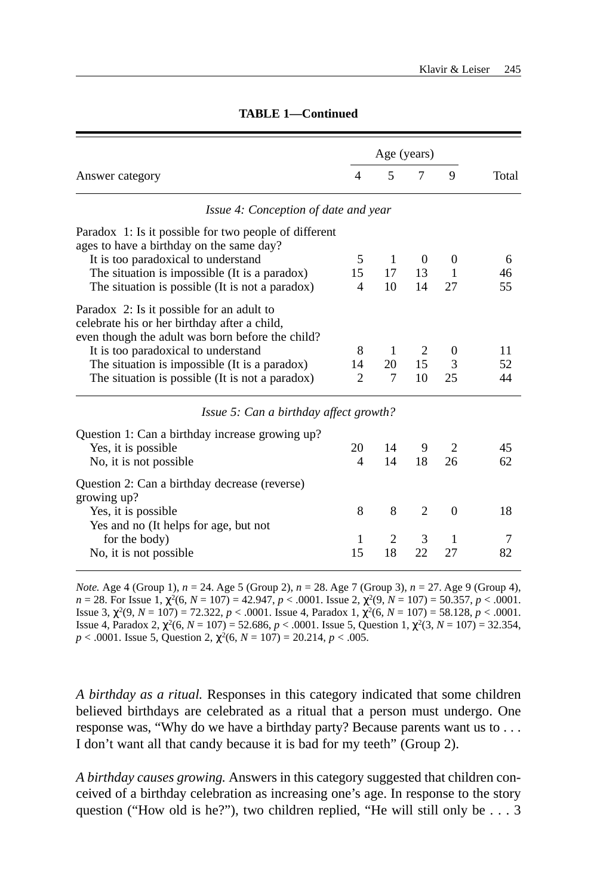|                                                                                                                                               | Age (years)    |              |          |                               |       |
|-----------------------------------------------------------------------------------------------------------------------------------------------|----------------|--------------|----------|-------------------------------|-------|
| Answer category                                                                                                                               | $\overline{4}$ | 5            | 7        | $\mathbf Q$                   | Total |
| <i>Issue 4: Conception of date and year</i>                                                                                                   |                |              |          |                               |       |
| Paradox 1: Is it possible for two people of different<br>ages to have a birthday on the same day?                                             |                |              |          |                               |       |
| It is too paradoxical to understand                                                                                                           | 5              | 1            | $\theta$ | 0                             | 6     |
| The situation is impossible (It is a paradox)                                                                                                 | 15             | 17           | 13       | $\mathbf{1}$                  | 46    |
| The situation is possible (It is not a paradox)                                                                                               | $\overline{4}$ | 10           | 14       | 27                            | 55    |
| Paradox 2: Is it possible for an adult to<br>celebrate his or her birthday after a child,<br>even though the adult was born before the child? |                |              |          |                               |       |
| It is too paradoxical to understand                                                                                                           | 8              | $\mathbf{1}$ | 2        | $\overline{0}$                | 11    |
| The situation is impossible (It is a paradox)                                                                                                 | 14             | 20           | 15       | 3                             | 52    |
| The situation is possible (It is not a paradox)                                                                                               | 2              | 7            | 10       | 25                            | 44    |
| Issue 5: Can a birthday affect growth?                                                                                                        |                |              |          |                               |       |
| Question 1: Can a birthday increase growing up?                                                                                               |                |              |          |                               |       |
| Yes, it is possible.                                                                                                                          | 20             | 14           | 9        | $\mathfrak{D}_{\mathfrak{p}}$ | 45    |
| No, it is not possible.                                                                                                                       | 4              | 14           | 18       | 26                            | 62    |
| Question 2: Can a birthday decrease (reverse)<br>growing up?                                                                                  |                |              |          |                               |       |
| Yes, it is possible.                                                                                                                          | 8              | 8            | 2        | $\Omega$                      | 18    |
| Yes and no (It helps for age, but not                                                                                                         |                |              |          |                               |       |
| for the body)                                                                                                                                 | 1              | 2            | 3        | 1                             | 7     |
| No, it is not possible.                                                                                                                       | 15             | 18           | 22       | 27                            | 82    |
|                                                                                                                                               |                |              |          |                               |       |

**TABLE 1—Continued**

*Note.* Age 4 (Group 1), *n* = 24. Age 5 (Group 2), *n* = 28. Age 7 (Group 3), *n* = 27. Age 9 (Group 4),  $n = 28$ . For Issue 1,  $\chi^2(6, N = 107) = 42.947$ ,  $p < .0001$ . Issue 2,  $\chi^2(9, N = 107) = 50.357$ ,  $p < .0001$ . Issue 3,  $\chi^2(9, N = 107) = 72.322$ ,  $p < .0001$ . Issue 4, Paradox 1,  $\chi^2(6, N = 107) = 58.128$ ,  $p < .0001$ . Issue 4, Paradox 2,  $\chi^2(6, N = 107) = 52.686, p < .0001$ . Issue 5, Question 1,  $\chi^2(3, N = 107) = 32.354$ , *p* < .0001. Issue 5, Question 2,  $\chi^2$  (6, *N* = 107) = 20.214, *p* < .005.

*A birthday as a ritual.* Responses in this category indicated that some children believed birthdays are celebrated as a ritual that a person must undergo. One response was, "Why do we have a birthday party? Because parents want us to . . . I don't want all that candy because it is bad for my teeth" (Group 2).

*A birthday causes growing.* Answers in this category suggested that children conceived of a birthday celebration as increasing one's age. In response to the story question ("How old is he?"), two children replied, "He will still only be . . . 3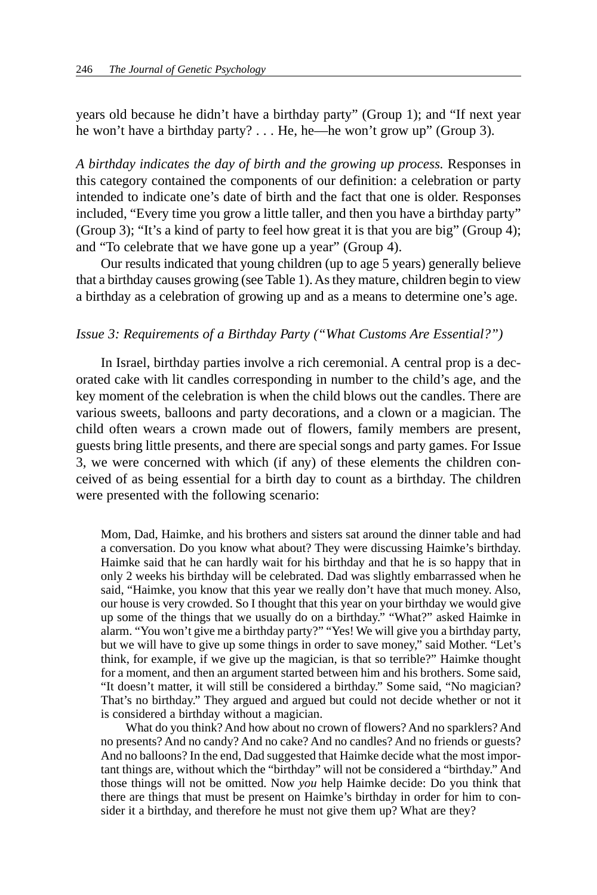years old because he didn't have a birthday party" (Group 1); and "If next year he won't have a birthday party? . . . He, he—he won't grow up" (Group 3).

*A birthday indicates the day of birth and the growing up process.* Responses in this category contained the components of our definition: a celebration or party intended to indicate one's date of birth and the fact that one is older. Responses included, "Every time you grow a little taller, and then you have a birthday party" (Group 3); "It's a kind of party to feel how great it is that you are big" (Group 4); and "To celebrate that we have gone up a year" (Group 4).

Our results indicated that young children (up to age 5 years) generally believe that a birthday causes growing (see Table 1). As they mature, children begin to view a birthday as a celebration of growing up and as a means to determine one's age.

#### *Issue 3: Requirements of a Birthday Party ("What Customs Are Essential?")*

In Israel, birthday parties involve a rich ceremonial. A central prop is a decorated cake with lit candles corresponding in number to the child's age, and the key moment of the celebration is when the child blows out the candles. There are various sweets, balloons and party decorations, and a clown or a magician. The child often wears a crown made out of flowers, family members are present, guests bring little presents, and there are special songs and party games. For Issue 3, we were concerned with which (if any) of these elements the children conceived of as being essential for a birth day to count as a birthday. The children were presented with the following scenario:

Mom, Dad, Haimke, and his brothers and sisters sat around the dinner table and had a conversation. Do you know what about? They were discussing Haimke's birthday. Haimke said that he can hardly wait for his birthday and that he is so happy that in only 2 weeks his birthday will be celebrated. Dad was slightly embarrassed when he said, "Haimke, you know that this year we really don't have that much money. Also, our house is very crowded. So I thought that this year on your birthday we would give up some of the things that we usually do on a birthday." "What?" asked Haimke in alarm. "You won't give me a birthday party?" "Yes! We will give you a birthday party, but we will have to give up some things in order to save money," said Mother. "Let's think, for example, if we give up the magician, is that so terrible?" Haimke thought for a moment, and then an argument started between him and his brothers. Some said, "It doesn't matter, it will still be considered a birthday." Some said, "No magician? That's no birthday." They argued and argued but could not decide whether or not it is considered a birthday without a magician.

What do you think? And how about no crown of flowers? And no sparklers? And no presents? And no candy? And no cake? And no candles? And no friends or guests? And no balloons? In the end, Dad suggested that Haimke decide what the most important things are, without which the "birthday" will not be considered a "birthday." And those things will not be omitted. Now *you* help Haimke decide: Do you think that there are things that must be present on Haimke's birthday in order for him to consider it a birthday, and therefore he must not give them up? What are they?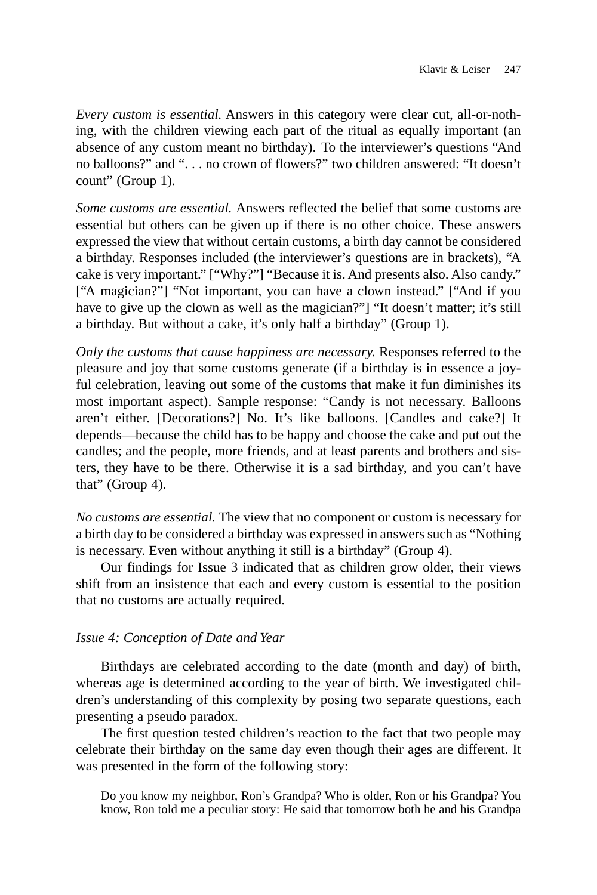*Every custom is essential.* Answers in this category were clear cut, all-or-nothing, with the children viewing each part of the ritual as equally important (an absence of any custom meant no birthday). To the interviewer's questions "And no balloons?" and ". . . no crown of flowers?" two children answered: "It doesn't count" (Group 1).

*Some customs are essential.* Answers reflected the belief that some customs are essential but others can be given up if there is no other choice. These answers expressed the view that without certain customs, a birth day cannot be considered a birthday. Responses included (the interviewer's questions are in brackets), "A cake is very important." ["Why?"] "Because it is. And presents also. Also candy." ["A magician?"] "Not important, you can have a clown instead." ["And if you have to give up the clown as well as the magician?"] "It doesn't matter; it's still a birthday. But without a cake, it's only half a birthday" (Group 1).

*Only the customs that cause happiness are necessary.* Responses referred to the pleasure and joy that some customs generate (if a birthday is in essence a joyful celebration, leaving out some of the customs that make it fun diminishes its most important aspect). Sample response: "Candy is not necessary. Balloons aren't either. [Decorations?] No. It's like balloons. [Candles and cake?] It depends—because the child has to be happy and choose the cake and put out the candles; and the people, more friends, and at least parents and brothers and sisters, they have to be there. Otherwise it is a sad birthday, and you can't have that" (Group 4).

*No customs are essential.* The view that no component or custom is necessary for a birth day to be considered a birthday was expressed in answers such as "Nothing is necessary. Even without anything it still is a birthday" (Group 4).

Our findings for Issue 3 indicated that as children grow older, their views shift from an insistence that each and every custom is essential to the position that no customs are actually required.

#### *Issue 4: Conception of Date and Year*

Birthdays are celebrated according to the date (month and day) of birth, whereas age is determined according to the year of birth. We investigated children's understanding of this complexity by posing two separate questions, each presenting a pseudo paradox.

The first question tested children's reaction to the fact that two people may celebrate their birthday on the same day even though their ages are different. It was presented in the form of the following story:

Do you know my neighbor, Ron's Grandpa? Who is older, Ron or his Grandpa? You know, Ron told me a peculiar story: He said that tomorrow both he and his Grandpa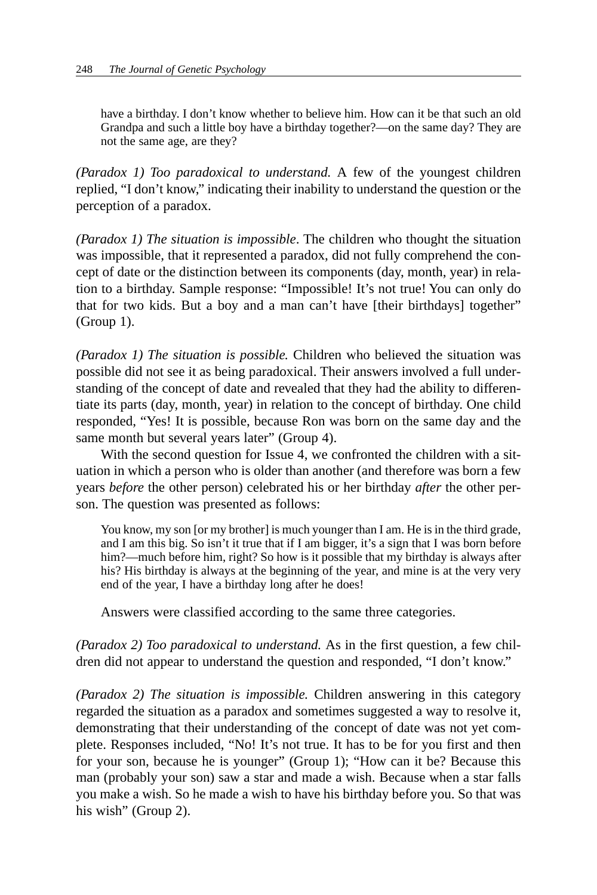have a birthday. I don't know whether to believe him. How can it be that such an old Grandpa and such a little boy have a birthday together?—on the same day? They are not the same age, are they?

*(Paradox 1) Too paradoxical to understand.* A few of the youngest children replied, "I don't know," indicating their inability to understand the question or the perception of a paradox.

*(Paradox 1) The situation is impossible*. The children who thought the situation was impossible, that it represented a paradox, did not fully comprehend the concept of date or the distinction between its components (day, month, year) in relation to a birthday. Sample response: "Impossible! It's not true! You can only do that for two kids. But a boy and a man can't have [their birthdays] together" (Group 1).

*(Paradox 1) The situation is possible.* Children who believed the situation was possible did not see it as being paradoxical. Their answers involved a full understanding of the concept of date and revealed that they had the ability to differentiate its parts (day, month, year) in relation to the concept of birthday. One child responded, "Yes! It is possible, because Ron was born on the same day and the same month but several years later" (Group 4).

With the second question for Issue 4, we confronted the children with a situation in which a person who is older than another (and therefore was born a few years *before* the other person) celebrated his or her birthday *after* the other person. The question was presented as follows:

You know, my son [or my brother] is much younger than I am. He is in the third grade, and I am this big. So isn't it true that if I am bigger, it's a sign that I was born before him?—much before him, right? So how is it possible that my birthday is always after his? His birthday is always at the beginning of the year, and mine is at the very very end of the year, I have a birthday long after he does!

Answers were classified according to the same three categories.

*(Paradox 2) Too paradoxical to understand.* As in the first question, a few children did not appear to understand the question and responded, "I don't know."

*(Paradox 2) The situation is impossible.* Children answering in this category regarded the situation as a paradox and sometimes suggested a way to resolve it, demonstrating that their understanding of the concept of date was not yet complete. Responses included, "No! It's not true. It has to be for you first and then for your son, because he is younger" (Group 1); "How can it be? Because this man (probably your son) saw a star and made a wish. Because when a star falls you make a wish. So he made a wish to have his birthday before you. So that was his wish" (Group 2).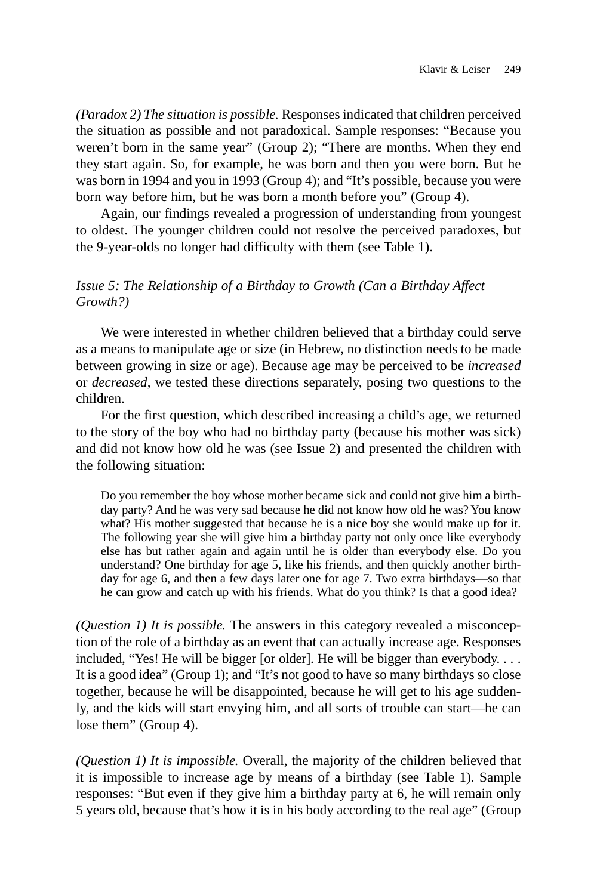*(Paradox 2) The situation is possible.* Responses indicated that children perceived the situation as possible and not paradoxical. Sample responses: "Because you weren't born in the same year" (Group 2); "There are months. When they end they start again. So, for example, he was born and then you were born. But he was born in 1994 and you in 1993 (Group 4); and "It's possible, because you were born way before him, but he was born a month before you" (Group 4).

Again, our findings revealed a progression of understanding from youngest to oldest. The younger children could not resolve the perceived paradoxes, but the 9-year-olds no longer had difficulty with them (see Table 1).

## *Issue 5: The Relationship of a Birthday to Growth (Can a Birthday Affect Growth?)*

We were interested in whether children believed that a birthday could serve as a means to manipulate age or size (in Hebrew, no distinction needs to be made between growing in size or age). Because age may be perceived to be *increased* or *decreased*, we tested these directions separately, posing two questions to the children.

For the first question, which described increasing a child's age, we returned to the story of the boy who had no birthday party (because his mother was sick) and did not know how old he was (see Issue 2) and presented the children with the following situation:

Do you remember the boy whose mother became sick and could not give him a birthday party? And he was very sad because he did not know how old he was? You know what? His mother suggested that because he is a nice boy she would make up for it. The following year she will give him a birthday party not only once like everybody else has but rather again and again until he is older than everybody else. Do you understand? One birthday for age 5, like his friends, and then quickly another birthday for age 6, and then a few days later one for age 7. Two extra birthdays—so that he can grow and catch up with his friends. What do you think? Is that a good idea?

*(Question 1) It is possible.* The answers in this category revealed a misconception of the role of a birthday as an event that can actually increase age. Responses included, "Yes! He will be bigger [or older]. He will be bigger than everybody. . . . It is a good idea" (Group 1); and "It's not good to have so many birthdays so close together, because he will be disappointed, because he will get to his age suddenly, and the kids will start envying him, and all sorts of trouble can start—he can lose them" (Group 4).

*(Question 1) It is impossible.* Overall, the majority of the children believed that it is impossible to increase age by means of a birthday (see Table 1). Sample responses: "But even if they give him a birthday party at 6, he will remain only 5 years old, because that's how it is in his body according to the real age" (Group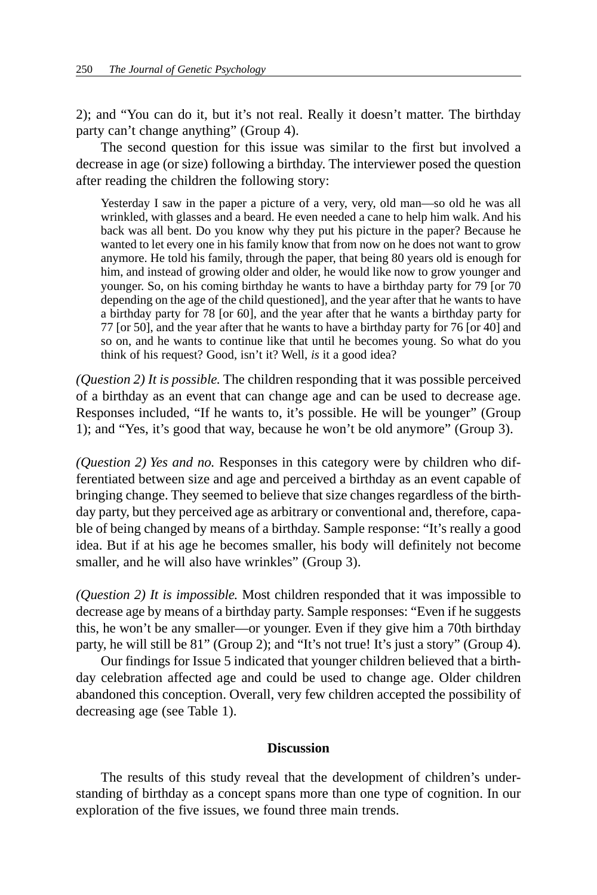2); and "You can do it, but it's not real. Really it doesn't matter. The birthday party can't change anything" (Group 4).

The second question for this issue was similar to the first but involved a decrease in age (or size) following a birthday. The interviewer posed the question after reading the children the following story:

Yesterday I saw in the paper a picture of a very, very, old man—so old he was all wrinkled, with glasses and a beard. He even needed a cane to help him walk. And his back was all bent. Do you know why they put his picture in the paper? Because he wanted to let every one in his family know that from now on he does not want to grow anymore. He told his family, through the paper, that being 80 years old is enough for him, and instead of growing older and older, he would like now to grow younger and younger. So, on his coming birthday he wants to have a birthday party for 79 [or 70 depending on the age of the child questioned], and the year after that he wants to have a birthday party for 78 [or 60], and the year after that he wants a birthday party for 77 [or 50], and the year after that he wants to have a birthday party for 76 [or 40] and so on, and he wants to continue like that until he becomes young. So what do you think of his request? Good, isn't it? Well, *is* it a good idea?

*(Question 2) It is possible.* The children responding that it was possible perceived of a birthday as an event that can change age and can be used to decrease age. Responses included, "If he wants to, it's possible. He will be younger" (Group 1); and "Yes, it's good that way, because he won't be old anymore" (Group 3).

*(Question 2) Yes and no.* Responses in this category were by children who differentiated between size and age and perceived a birthday as an event capable of bringing change. They seemed to believe that size changes regardless of the birthday party, but they perceived age as arbitrary or conventional and, therefore, capable of being changed by means of a birthday. Sample response: "It's really a good idea. But if at his age he becomes smaller, his body will definitely not become smaller, and he will also have wrinkles" (Group 3).

*(Question 2) It is impossible.* Most children responded that it was impossible to decrease age by means of a birthday party. Sample responses: "Even if he suggests this, he won't be any smaller—or younger. Even if they give him a 70th birthday party, he will still be 81" (Group 2); and "It's not true! It's just a story" (Group 4).

Our findings for Issue 5 indicated that younger children believed that a birthday celebration affected age and could be used to change age. Older children abandoned this conception. Overall, very few children accepted the possibility of decreasing age (see Table 1).

## **Discussion**

The results of this study reveal that the development of children's understanding of birthday as a concept spans more than one type of cognition. In our exploration of the five issues, we found three main trends.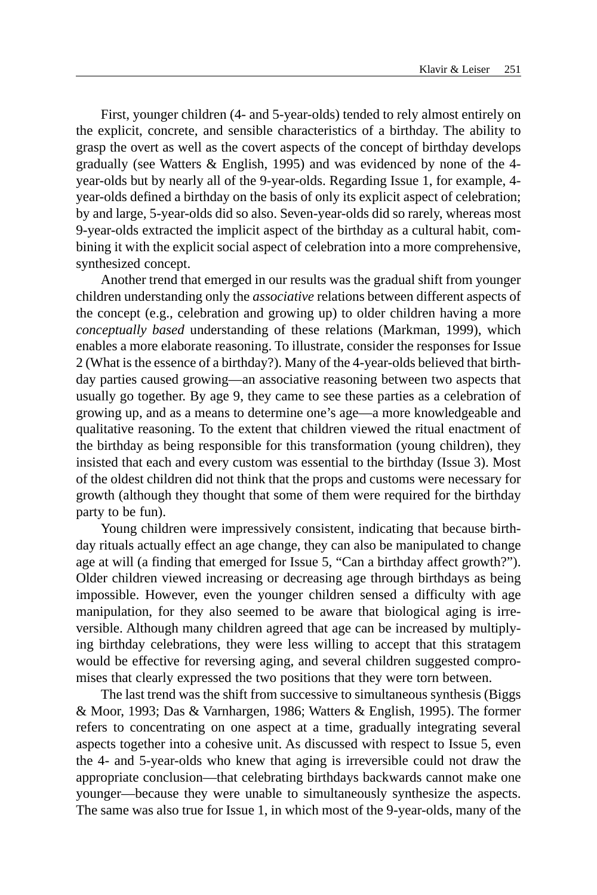First, younger children (4- and 5-year-olds) tended to rely almost entirely on the explicit, concrete, and sensible characteristics of a birthday. The ability to grasp the overt as well as the covert aspects of the concept of birthday develops gradually (see Watters & English, 1995) and was evidenced by none of the 4 year-olds but by nearly all of the 9-year-olds. Regarding Issue 1, for example, 4 year-olds defined a birthday on the basis of only its explicit aspect of celebration; by and large, 5-year-olds did so also. Seven-year-olds did so rarely, whereas most 9-year-olds extracted the implicit aspect of the birthday as a cultural habit, combining it with the explicit social aspect of celebration into a more comprehensive, synthesized concept.

Another trend that emerged in our results was the gradual shift from younger children understanding only the *associative* relations between different aspects of the concept (e.g., celebration and growing up) to older children having a more *conceptually based* understanding of these relations (Markman, 1999), which enables a more elaborate reasoning. To illustrate, consider the responses for Issue 2 (What is the essence of a birthday?). Many of the 4-year-olds believed that birthday parties caused growing—an associative reasoning between two aspects that usually go together. By age 9, they came to see these parties as a celebration of growing up, and as a means to determine one's age—a more knowledgeable and qualitative reasoning. To the extent that children viewed the ritual enactment of the birthday as being responsible for this transformation (young children), they insisted that each and every custom was essential to the birthday (Issue 3). Most of the oldest children did not think that the props and customs were necessary for growth (although they thought that some of them were required for the birthday party to be fun).

Young children were impressively consistent, indicating that because birthday rituals actually effect an age change, they can also be manipulated to change age at will (a finding that emerged for Issue 5, "Can a birthday affect growth?"). Older children viewed increasing or decreasing age through birthdays as being impossible. However, even the younger children sensed a difficulty with age manipulation, for they also seemed to be aware that biological aging is irreversible. Although many children agreed that age can be increased by multiplying birthday celebrations, they were less willing to accept that this stratagem would be effective for reversing aging, and several children suggested compromises that clearly expressed the two positions that they were torn between.

The last trend was the shift from successive to simultaneous synthesis (Biggs & Moor, 1993; Das & Varnhargen, 1986; Watters & English, 1995). The former refers to concentrating on one aspect at a time, gradually integrating several aspects together into a cohesive unit. As discussed with respect to Issue 5, even the 4- and 5-year-olds who knew that aging is irreversible could not draw the appropriate conclusion—that celebrating birthdays backwards cannot make one younger—because they were unable to simultaneously synthesize the aspects. The same was also true for Issue 1, in which most of the 9-year-olds, many of the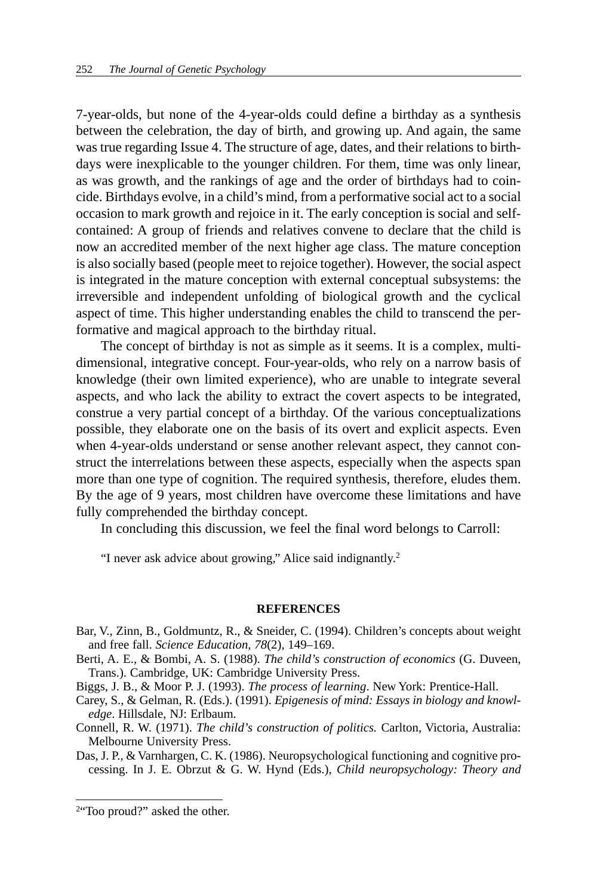7-year-olds, but none of the 4-year-olds could define a birthday as a synthesis between the celebration, the day of birth, and growing up. And again, the same was true regarding Issue 4. The structure of age, dates, and their relations to birthdays were inexplicable to the younger children. For them, time was only linear, as was growth, and the rankings of age and the order of birthdays had to coincide. Birthdays evolve, in a child's mind, from a performative social act to a social occasion to mark growth and rejoice in it. The early conception is social and selfcontained: A group of friends and relatives convene to declare that the child is now an accredited member of the next higher age class. The mature conception is also socially based (people meet to rejoice together). However, the social aspect is integrated in the mature conception with external conceptual subsystems: the irreversible and independent unfolding of biological growth and the cyclical aspect of time. This higher understanding enables the child to transcend the performative and magical approach to the birthday ritual.

The concept of birthday is not as simple as it seems. It is a complex, multidimensional, integrative concept. Four-year-olds, who rely on a narrow basis of knowledge (their own limited experience), who are unable to integrate several aspects, and who lack the ability to extract the covert aspects to be integrated, construe a very partial concept of a birthday. Of the various conceptualizations possible, they elaborate one on the basis of its overt and explicit aspects. Even when 4-year-olds understand or sense another relevant aspect, they cannot construct the interrelations between these aspects, especially when the aspects span more than one type of cognition. The required synthesis, therefore, eludes them. By the age of 9 years, most children have overcome these limitations and have fully comprehended the birthday concept.

In concluding this discussion, we feel the final word belongs to Carroll:

"I never ask advice about growing," Alice said indignantly.2

#### **REFERENCES**

- Bar, V., Zinn, B., Goldmuntz, R., & Sneider, C. (1994). Children's concepts about weight and free fall. *Science Education, 78*(2), 149–169.
- Berti, A. E., & Bombi, A. S. (1988). *The child's construction of economics* (G. Duveen, Trans.). Cambridge, UK: Cambridge University Press.
- Biggs, J. B., & Moor P. J. (1993). *The process of learning*. New York: Prentice-Hall.
- Carey, S., & Gelman, R. (Eds.). (1991). *Epigenesis of mind: Essays in biology and knowledge*. Hillsdale, NJ: Erlbaum.
- Connell, R. W. (1971). *The child's construction of politics.* Carlton, Victoria, Australia: Melbourne University Press.
- Das, J. P., & Varnhargen, C. K. (1986). Neuropsychological functioning and cognitive processing. In J. E. Obrzut & G. W. Hynd (Eds.), *Child neuropsychology: Theory and*

<sup>&</sup>lt;sup>2"</sup>Too proud?" asked the other.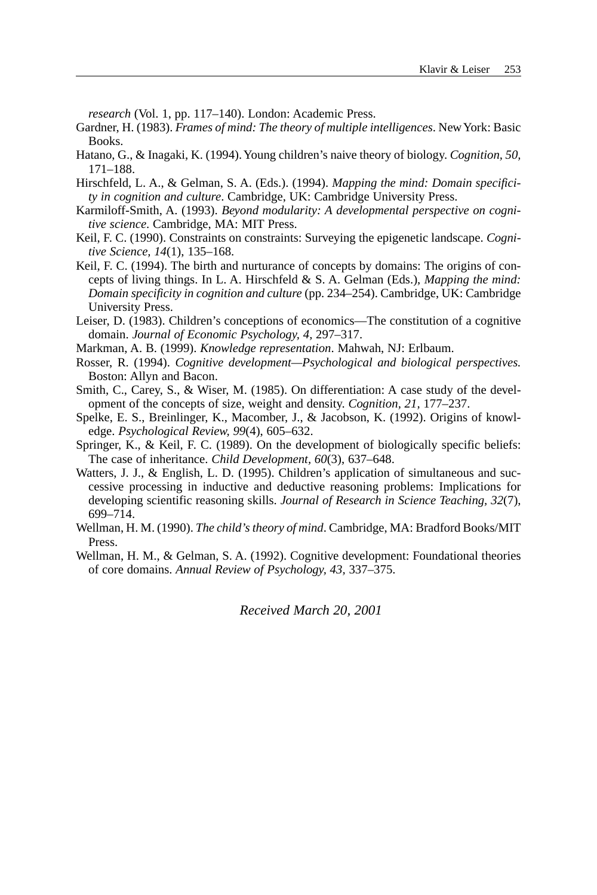*research* (Vol. 1, pp. 117–140). London: Academic Press.

- Gardner, H. (1983). *Frames of mind: The theory of multiple intelligences*. New York: Basic Books.
- Hatano, G., & Inagaki, K. (1994). Young children's naive theory of biology. *Cognition, 50,* 171–188.
- Hirschfeld, L. A., & Gelman, S. A. (Eds.). (1994). *Mapping the mind: Domain specificity in cognition and culture*. Cambridge, UK: Cambridge University Press.
- Karmiloff-Smith, A. (1993). *Beyond modularity: A developmental perspective on cognitive science*. Cambridge, MA: MIT Press.
- Keil, F. C. (1990). Constraints on constraints: Surveying the epigenetic landscape. *Cognitive Science, 14*(1), 135–168.
- Keil, F. C. (1994). The birth and nurturance of concepts by domains: The origins of concepts of living things. In L. A. Hirschfeld & S. A. Gelman (Eds.), *Mapping the mind: Domain specificity in cognition and culture* (pp. 234–254). Cambridge, UK: Cambridge University Press.
- Leiser, D. (1983). Children's conceptions of economics—The constitution of a cognitive domain. *Journal of Economic Psychology, 4,* 297–317.
- Markman, A. B. (1999). *Knowledge representation*. Mahwah, NJ: Erlbaum.
- Rosser, R. (1994). *Cognitive development—Psychological and biological perspectives.* Boston: Allyn and Bacon.
- Smith, C., Carey, S., & Wiser, M. (1985). On differentiation: A case study of the development of the concepts of size, weight and density. *Cognition, 21,* 177–237.
- Spelke, E. S., Breinlinger, K., Macomber, J., & Jacobson, K. (1992). Origins of knowledge. *Psychological Review, 99*(4), 605–632.
- Springer, K., & Keil, F. C. (1989). On the development of biologically specific beliefs: The case of inheritance. *Child Development, 60*(3), 637–648.
- Watters, J. J., & English, L. D. (1995). Children's application of simultaneous and successive processing in inductive and deductive reasoning problems: Implications for developing scientific reasoning skills. *Journal of Research in Science Teaching, 32*(7), 699–714.
- Wellman, H. M. (1990). *The child's theory of mind*. Cambridge, MA: Bradford Books/MIT Press.
- Wellman, H. M., & Gelman, S. A. (1992). Cognitive development: Foundational theories of core domains. *Annual Review of Psychology, 43,* 337–375.

*Received March 20, 2001*